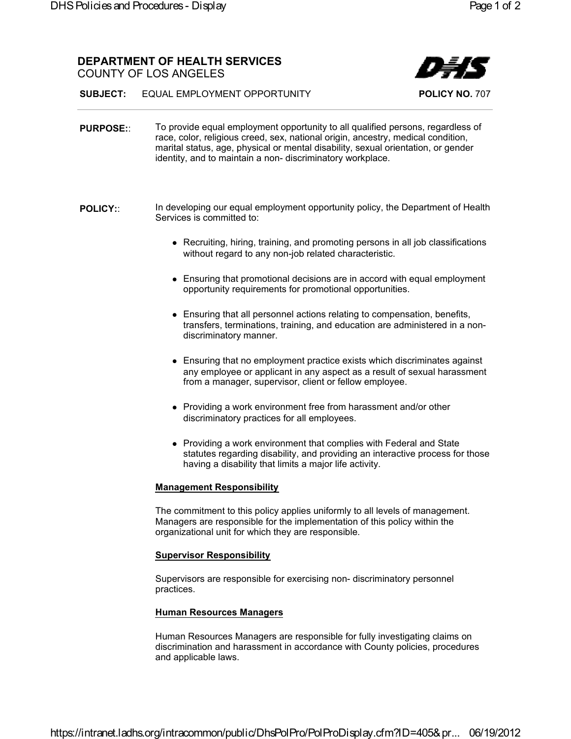**SUBJECT:** EQUAL EMPLOYMENT OPPORTUNITY **POLICY NO.** 707

- **PURPOSE::** To provide equal employment opportunity to all qualified persons, regardless of race, color, religious creed, sex, national origin, ancestry, medical condition, marital status, age, physical or mental disability, sexual orientation, or gender identity, and to maintain a non- discriminatory workplace.
- **POLICY:**: In developing our equal employment opportunity policy, the Department of Health Services is committed to:
	- Recruiting, hiring, training, and promoting persons in all job classifications without regard to any non-job related characteristic.
	- Ensuring that promotional decisions are in accord with equal employment opportunity requirements for promotional opportunities.
	- Ensuring that all personnel actions relating to compensation, benefits, transfers, terminations, training, and education are administered in a non discriminatory manner.
	- Ensuring that no employment practice exists which discriminates against any employee or applicant in any aspect as a result of sexual harassment from a manager, supervisor, client or fellow employee.
	- Providing a work environment free from harassment and/or other discriminatory practices for all employees.
	- Providing a work environment that complies with Federal and State statutes regarding disability, and providing an interactive process for those having a disability that limits a major life activity.

## **Management Responsibility**

The commitment to this policy applies uniformly to all levels of management. Managers are responsible for the implementation of this policy within the organizational unit for which they are responsible.

## **Supervisor Responsibility**

Supervisors are responsible for exercising non- discriminatory personnel practices.

## **Human Resources Managers**

Human Resources Managers are responsible for fully investigating claims on discrimination and harassment in accordance with County policies, procedures and applicable laws.